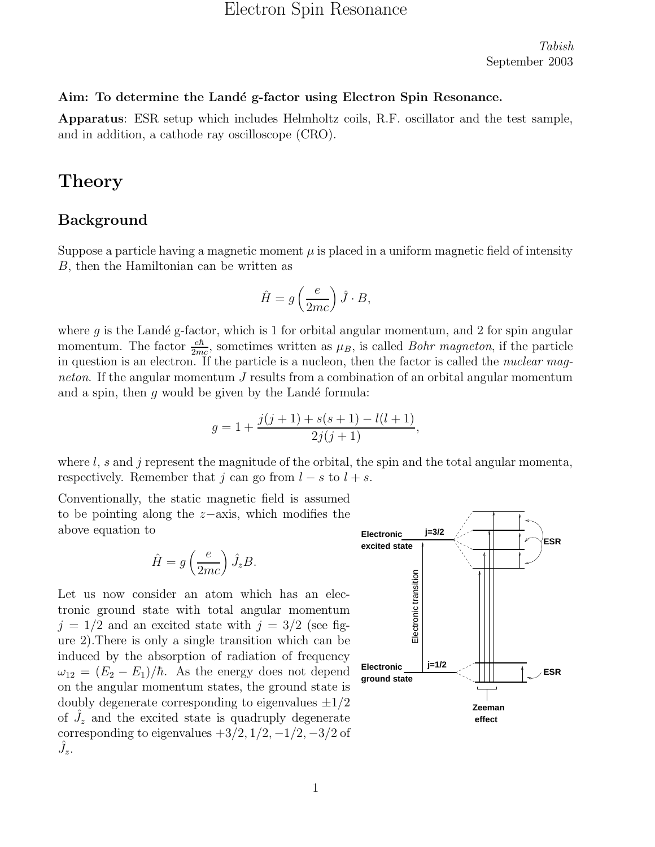# Electron Spin Resonance

Tabish September 2003

#### Aim: To determine the Landé g-factor using Electron Spin Resonance.

Apparatus: ESR setup which includes Helmholtz coils, R.F. oscillator and the test sample, and in addition, a cathode ray oscilloscope (CRO).

# **Theory**

#### Background

Suppose a particle having a magnetic moment  $\mu$  is placed in a uniform magnetic field of intensity B, then the Hamiltonian can be written as

$$
\hat{H} = g\left(\frac{e}{2mc}\right)\hat{J} \cdot B,
$$

where  $q$  is the Landé g-factor, which is 1 for orbital angular momentum, and 2 for spin angular momentum. The factor  $\frac{e\hbar}{2mc}$ , sometimes written as  $\mu_B$ , is called *Bohr magneton*, if the particle in question is an electron. If the particle is a nucleon, then the factor is called the *nuclear mag*neton. If the angular momentum J results from a combination of an orbital angular momentum and a spin, then  $g$  would be given by the Landé formula:

$$
g = 1 + \frac{j(j+1) + s(s+1) - l(l+1)}{2j(j+1)},
$$

where  $l$ , s and j represent the magnitude of the orbital, the spin and the total angular momenta, respectively. Remember that j can go from  $l - s$  to  $l + s$ .

Conventionally, the static magnetic field is assumed to be pointing along the z−axis, which modifies the above equation to

$$
\hat{H} = g\left(\frac{e}{2mc}\right)\hat{J}_zB.
$$

Let us now consider an atom which has an electronic ground state with total angular momentum  $j = 1/2$  and an excited state with  $j = 3/2$  (see figure 2).There is only a single transition which can be induced by the absorption of radiation of frequency  $\omega_{12} = (E_2 - E_1)/\hbar$ . As the energy does not depend on the angular momentum states, the ground state is doubly degenerate corresponding to eigenvalues  $\pm 1/2$ of  $\hat{J}_z$  and the excited state is quadruply degenerate corresponding to eigenvalues  $+3/2$ ,  $1/2$ ,  $-1/2$ ,  $-3/2$  of  $\hat{J}_z$ .

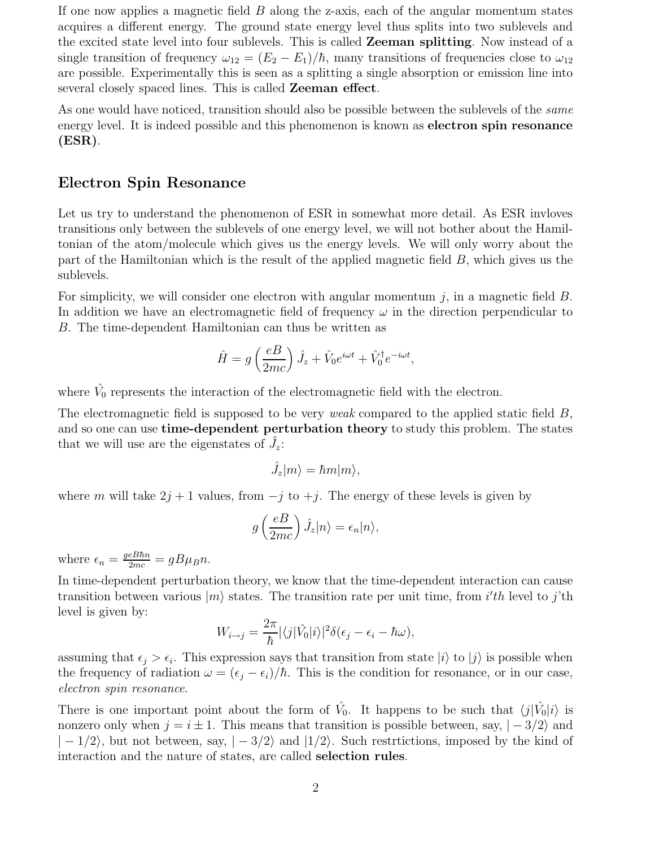If one now applies a magnetic field  $B$  along the z-axis, each of the angular momentum states acquires a different energy. The ground state energy level thus splits into two sublevels and the excited state level into four sublevels. This is called Zeeman splitting. Now instead of a single transition of frequency  $\omega_{12} = (E_2 - E_1)/\hbar$ , many transitions of frequencies close to  $\omega_{12}$ are possible. Experimentally this is seen as a splitting a single absorption or emission line into several closely spaced lines. This is called Zeeman effect.

As one would have noticed, transition should also be possible between the sublevels of the *same* energy level. It is indeed possible and this phenomenon is known as electron spin resonance (ESR).

#### Electron Spin Resonance

Let us try to understand the phenomenon of ESR in somewhat more detail. As ESR invloves transitions only between the sublevels of one energy level, we will not bother about the Hamiltonian of the atom/molecule which gives us the energy levels. We will only worry about the part of the Hamiltonian which is the result of the applied magnetic field B, which gives us the sublevels.

For simplicity, we will consider one electron with angular momentum  $j$ , in a magnetic field  $B$ . In addition we have an electromagnetic field of frequency  $\omega$  in the direction perpendicular to B. The time-dependent Hamiltonian can thus be written as

$$
\hat{H} = g\left(\frac{eB}{2mc}\right)\hat{J}_z + \hat{V}_0e^{i\omega t} + \hat{V}_0^{\dagger}e^{-i\omega t},
$$

where  $\hat{V}_0$  represents the interaction of the electromagnetic field with the electron.

The electromagnetic field is supposed to be very *weak* compared to the applied static field  $B$ , and so one can use **time-dependent perturbation theory** to study this problem. The states that we will use are the eigenstates of  $\hat{J}_z$ :

$$
\hat{J}_z|m\rangle = \hbar m|m\rangle,
$$

where m will take  $2j + 1$  values, from  $-j$  to  $+j$ . The energy of these levels is given by

$$
g\left(\frac{eB}{2mc}\right)\hat{J}_z|n\rangle = \epsilon_n|n\rangle,
$$

where  $\epsilon_n = \frac{geB\hbar n}{2mc} = gB\mu_B n$ .

In time-dependent perturbation theory, we know that the time-dependent interaction can cause transition between various  $|m\rangle$  states. The transition rate per unit time, from *i'th* level to *j*'th level is given by:

$$
W_{i\to j} = \frac{2\pi}{\hbar} |\langle j|\hat{V}_0|i\rangle|^2 \delta(\epsilon_j - \epsilon_i - \hbar\omega),
$$

assuming that  $\epsilon_j > \epsilon_i$ . This expression says that transition from state  $|i\rangle$  to  $|j\rangle$  is possible when the frequency of radiation  $\omega = (\epsilon_j - \epsilon_i)/\hbar$ . This is the condition for resonance, or in our case, electron spin resonance.

There is one important point about the form of  $\hat{V}_0$ . It happens to be such that  $\langle j|\hat{V}_0|i\rangle$  is nonzero only when  $j = i \pm 1$ . This means that transition is possible between, say,  $|-3/2\rangle$  and  $|-1/2\rangle$ , but not between, say,  $|-3/2\rangle$  and  $|1/2\rangle$ . Such restrictions, imposed by the kind of interaction and the nature of states, are called selection rules.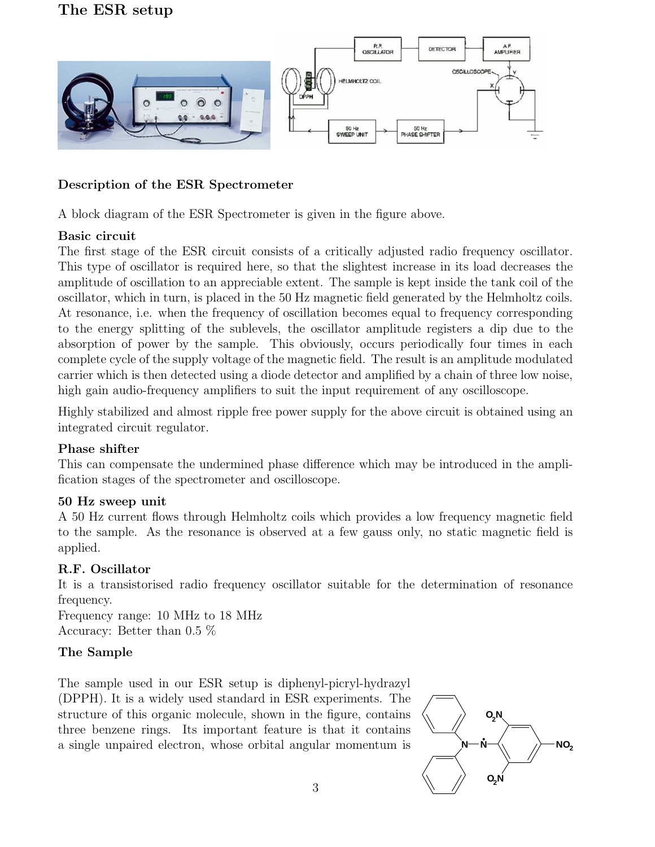

### Description of the ESR Spectrometer

A block diagram of the ESR Spectrometer is given in the figure above.

### Basic circuit

The first stage of the ESR circuit consists of a critically adjusted radio frequency oscillator. This type of oscillator is required here, so that the slightest increase in its load decreases the amplitude of oscillation to an appreciable extent. The sample is kept inside the tank coil of the oscillator, which in turn, is placed in the 50 Hz magnetic field generated by the Helmholtz coils. At resonance, i.e. when the frequency of oscillation becomes equal to frequency corresponding to the energy splitting of the sublevels, the oscillator amplitude registers a dip due to the absorption of power by the sample. This obviously, occurs periodically four times in each complete cycle of the supply voltage of the magnetic field. The result is an amplitude modulated carrier which is then detected using a diode detector and amplified by a chain of three low noise, high gain audio-frequency amplifiers to suit the input requirement of any oscilloscope.

Highly stabilized and almost ripple free power supply for the above circuit is obtained using an integrated circuit regulator.

### Phase shifter

This can compensate the undermined phase difference which may be introduced in the amplification stages of the spectrometer and oscilloscope.

### 50 Hz sweep unit

A 50 Hz current flows through Helmholtz coils which provides a low frequency magnetic field to the sample. As the resonance is observed at a few gauss only, no static magnetic field is applied.

## R.F. Oscillator

It is a transistorised radio frequency oscillator suitable for the determination of resonance frequency.

Frequency range: 10 MHz to 18 MHz Accuracy: Better than 0.5 %

## The Sample

The sample used in our ESR setup is diphenyl-picryl-hydrazyl (DPPH). It is a widely used standard in ESR experiments. The structure of this organic molecule, shown in the figure, contains three benzene rings. Its important feature is that it contains a single unpaired electron, whose orbital angular momentum is

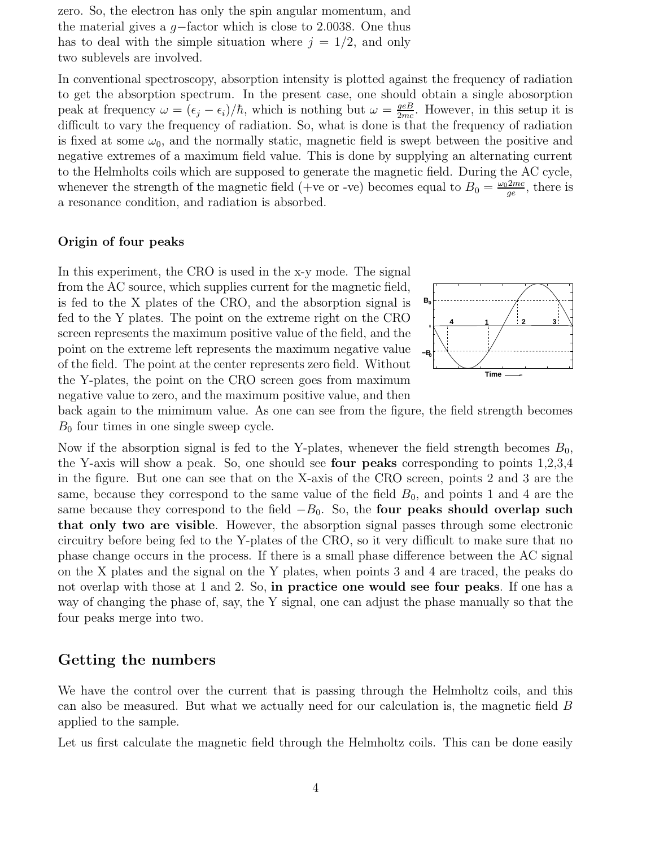zero. So, the electron has only the spin angular momentum, and the material gives a g−factor which is close to 2.0038. One thus has to deal with the simple situation where  $j = 1/2$ , and only two sublevels are involved.

In conventional spectroscopy, absorption intensity is plotted against the frequency of radiation to get the absorption spectrum. In the present case, one should obtain a single abosorption peak at frequency  $\omega = (\epsilon_j - \epsilon_i)/\hbar$ , which is nothing but  $\omega = \frac{geB}{2mc}$ . However, in this setup it is difficult to vary the frequency of radiation. So, what is done is that the frequency of radiation is fixed at some  $\omega_0$ , and the normally static, magnetic field is swept between the positive and negative extremes of a maximum field value. This is done by supplying an alternating current to the Helmholts coils which are supposed to generate the magnetic field. During the AC cycle, whenever the strength of the magnetic field (+ve or -ve) becomes equal to  $B_0 = \frac{\omega_0 2mc}{ce}$  $\frac{q_{mc}}{ge}$ , there is a resonance condition, and radiation is absorbed.

#### Origin of four peaks

In this experiment, the CRO is used in the x-y mode. The signal from the AC source, which supplies current for the magnetic field, is fed to the X plates of the CRO, and the absorption signal is fed to the Y plates. The point on the extreme right on the CRO screen represents the maximum positive value of the field, and the point on the extreme left represents the maximum negative value of the field. The point at the center represents zero field. Without the Y-plates, the point on the CRO screen goes from maximum negative value to zero, and the maximum positive value, and then



back again to the mimimum value. As one can see from the figure, the field strength becomes  $B_0$  four times in one single sweep cycle.

Now if the absorption signal is fed to the Y-plates, whenever the field strength becomes  $B_0$ , the Y-axis will show a peak. So, one should see four peaks corresponding to points 1,2,3,4 in the figure. But one can see that on the X-axis of the CRO screen, points 2 and 3 are the same, because they correspond to the same value of the field  $B_0$ , and points 1 and 4 are the same because they correspond to the field  $-B<sub>0</sub>$ . So, the **four peaks should overlap such** that only two are visible. However, the absorption signal passes through some electronic circuitry before being fed to the Y-plates of the CRO, so it very difficult to make sure that no phase change occurs in the process. If there is a small phase difference between the AC signal on the X plates and the signal on the Y plates, when points 3 and 4 are traced, the peaks do not overlap with those at 1 and 2. So, in practice one would see four peaks. If one has a way of changing the phase of, say, the Y signal, one can adjust the phase manually so that the four peaks merge into two.

### Getting the numbers

We have the control over the current that is passing through the Helmholtz coils, and this can also be measured. But what we actually need for our calculation is, the magnetic field B applied to the sample.

Let us first calculate the magnetic field through the Helmholtz coils. This can be done easily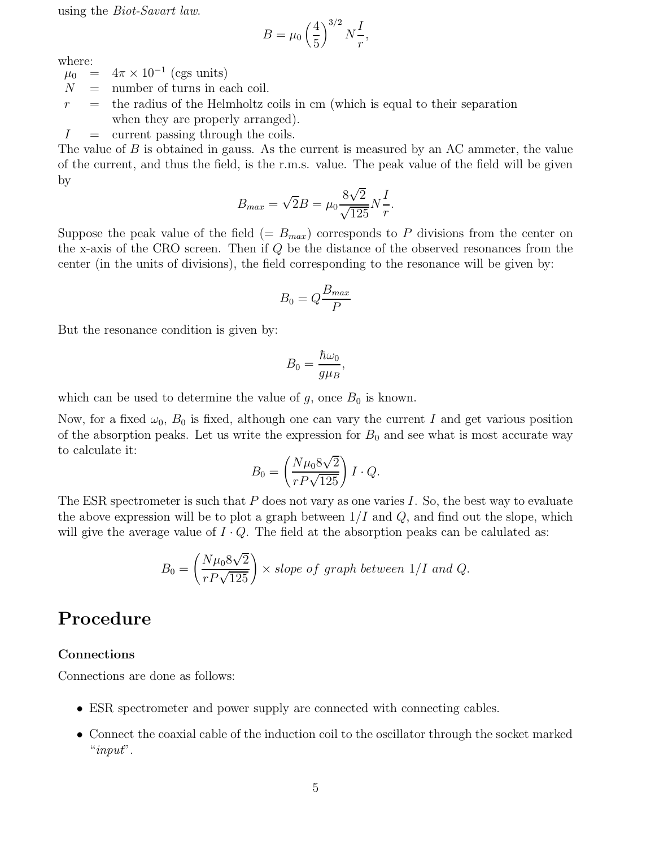using the Biot-Savart law.

$$
B = \mu_0 \left(\frac{4}{5}\right)^{3/2} N \frac{I}{r},
$$

where:

 $\mu_0 = 4\pi \times 10^{-1}$  (cgs units)

- $N =$  number of turns in each coil.
- $r =$  the radius of the Helmholtz coils in cm (which is equal to their separation when they are properly arranged).
- $I =$  current passing through the coils.

The value of  $B$  is obtained in gauss. As the current is measured by an AC ammeter, the value of the current, and thus the field, is the r.m.s. value. The peak value of the field will be given by

$$
B_{max} = \sqrt{2}B = \mu_0 \frac{8\sqrt{2}}{\sqrt{125}} N \frac{I}{r}.
$$

Suppose the peak value of the field  $(= B_{max})$  corresponds to P divisions from the center on the x-axis of the CRO screen. Then if Q be the distance of the observed resonances from the center (in the units of divisions), the field corresponding to the resonance will be given by:

$$
B_0 = Q \frac{B_{max}}{P}
$$

But the resonance condition is given by:

$$
B_0 = \frac{\hbar \omega_0}{g \mu_B},
$$

which can be used to determine the value of  $g$ , once  $B_0$  is known.

Now, for a fixed  $\omega_0$ ,  $B_0$  is fixed, although one can vary the current I and get various position of the absorption peaks. Let us write the expression for  $B_0$  and see what is most accurate way to calculate it:

$$
B_0 = \left(\frac{N\mu_0 8\sqrt{2}}{rP\sqrt{125}}\right)I \cdot Q.
$$

The ESR spectrometer is such that  $P$  does not vary as one varies  $I$ . So, the best way to evaluate the above expression will be to plot a graph between  $1/I$  and  $Q$ , and find out the slope, which will give the average value of  $I \cdot Q$ . The field at the absorption peaks can be calulated as:

$$
B_0 = \left(\frac{N\mu_0 8\sqrt{2}}{rP\sqrt{125}}\right) \times slope \ of \ graph \ between \ 1/I \ and \ Q.
$$

# Procedure

#### Connections

Connections are done as follows:

- ESR spectrometer and power supply are connected with connecting cables.
- Connect the coaxial cable of the induction coil to the oscillator through the socket marked " $input"$ .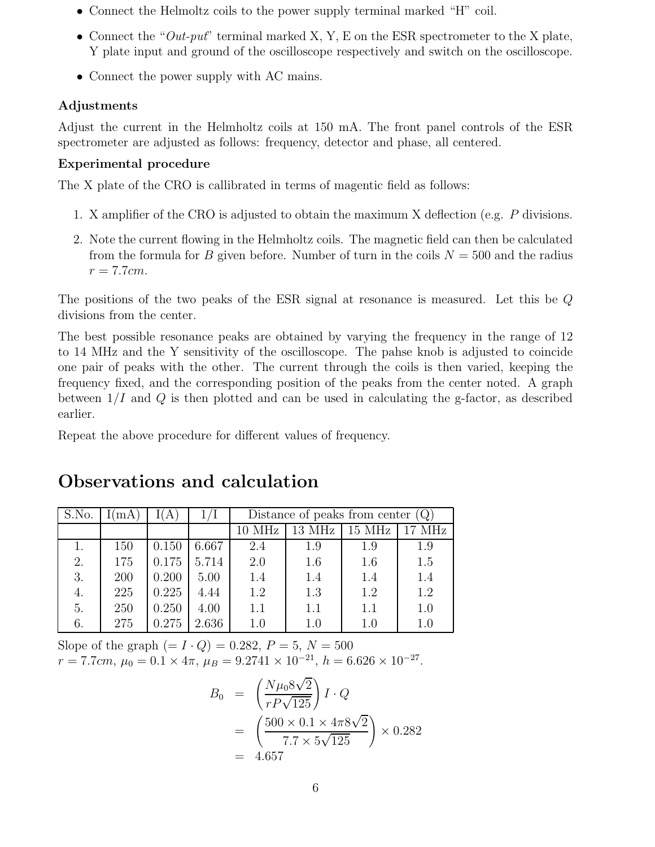- Connect the Helmoltz coils to the power supply terminal marked "H" coil.
- Connect the " $Out\text{-}put$ " terminal marked X, Y, E on the ESR spectrometer to the X plate, Y plate input and ground of the oscilloscope respectively and switch on the oscilloscope.
- Connect the power supply with AC mains.

### Adjustments

Adjust the current in the Helmholtz coils at 150 mA. The front panel controls of the ESR spectrometer are adjusted as follows: frequency, detector and phase, all centered.

## Experimental procedure

The X plate of the CRO is callibrated in terms of magentic field as follows:

- 1. X amplifier of the CRO is adjusted to obtain the maximum X deflection (e.g. P divisions.
- 2. Note the current flowing in the Helmholtz coils. The magnetic field can then be calculated from the formula for B given before. Number of turn in the coils  $N = 500$  and the radius  $r = 7.7cm$ .

The positions of the two peaks of the ESR signal at resonance is measured. Let this be Q divisions from the center.

The best possible resonance peaks are obtained by varying the frequency in the range of 12 to 14 MHz and the Y sensitivity of the oscilloscope. The pahse knob is adjusted to coincide one pair of peaks with the other. The current through the coils is then varied, keeping the frequency fixed, and the corresponding position of the peaks from the center noted. A graph between  $1/I$  and  $Q$  is then plotted and can be used in calculating the g-factor, as described earlier.

Repeat the above procedure for different values of frequency.

# Observations and calculation

| S.No. | mA  |       |       | Distance of peaks from center $(Q)$ |        |        |        |
|-------|-----|-------|-------|-------------------------------------|--------|--------|--------|
|       |     |       |       | 10 MHz                              | 13 MHz | 15 MHz | 17 MHz |
|       | 150 | 0.150 | 6.667 | 2.4                                 | 1.9    | 1.9    | 1.9    |
| 2.    | 175 | 0.175 | 5.714 | 2.0                                 | 1.6    | 1.6    | 1.5    |
| 3.    | 200 | 0.200 | 5.00  | 1.4                                 | 1.4    | 1.4    | 1.4    |
| 4.    | 225 | 0.225 | 4.44  | 1.2                                 | 1.3    | 1.2    | 1.2    |
| 5.    | 250 | 0.250 | 4.00  | 1.1                                 | 1.1    | 1.1    | 1.0    |
| 6.    | 275 | 0.275 | 2.636 | 1.0                                 | 1.0    | 1.0    | 1.0    |

Slope of the graph  $(= I \cdot Q) = 0.282, P = 5, N = 500$  $r = 7.7cm, \mu_0 = 0.1 \times 4\pi, \mu_B = 9.2741 \times 10^{-21}, \ h = 6.626 \times 10^{-27}.$ 

$$
B_0 = \left(\frac{N\mu_0 8\sqrt{2}}{rP\sqrt{125}}\right) I \cdot Q
$$
  
= 
$$
\left(\frac{500 \times 0.1 \times 4\pi 8\sqrt{2}}{7.7 \times 5\sqrt{125}}\right) \times 0.282
$$
  
= 4.657